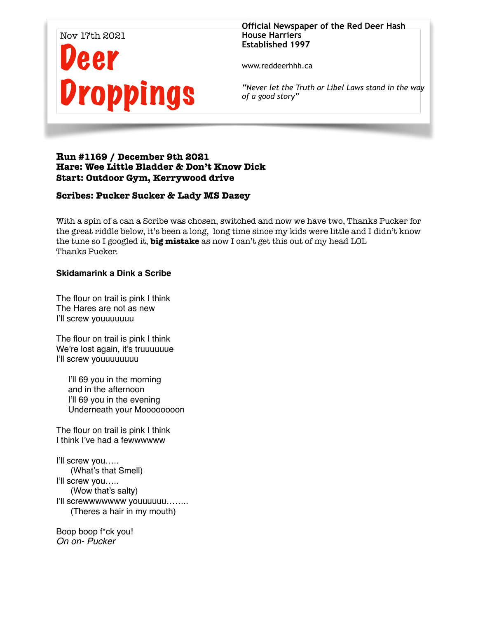

**Official Newspaper of the Red Deer Hash House Harriers Established 1997** 

www.reddeerhhh.ca

*"Never let the Truth or Libel Laws stand in the way of a good story"*

## **Run #1169 / December 9th 2021 Hare: Wee Little Bladder & Don't Know Dick Start: Outdoor Gym, Kerrywood drive**

## **Scribes: Pucker Sucker & Lady MS Dazey**

With a spin of a can a Scribe was chosen, switched and now we have two, Thanks Pucker for the great riddle below, it's been a long, long time since my kids were little and I didn't know the tune so I googled it, **big mistake** as now I can't get this out of my head LOL Thanks Pucker.

## **Skidamarink a Dink a Scribe**

The flour on trail is pink I think The Hares are not as new I'll screw youuuuuuu

The flour on trail is pink I think We're lost again, it's truuuuuue I'll screw youuuuuuuu

I'll 69 you in the morning and in the afternoon I'll 69 you in the evening Underneath your Moooooooon

The flour on trail is pink I think I think I've had a fewwwwww

I'll screw you..... (What's that Smell) I'll screw you..... (Wow that's salty) I'll screwwwwwww youuuuuu…….. (Theres a hair in my mouth)

Boop boop f\*ck you! *On on- Pucker*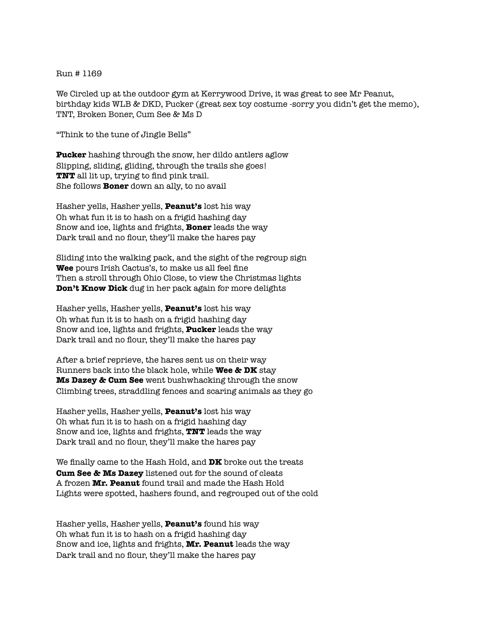## Run # 1169

We Circled up at the outdoor gym at Kerrywood Drive, it was great to see Mr Peanut, birthday kids WLB & DKD, Pucker (great sex toy costume -sorry you didn't get the memo), TNT, Broken Boner, Cum See & Ms D

"Think to the tune of Jingle Bells"

**Pucker** hashing through the snow, her dildo antlers aglow Slipping, sliding, gliding, through the trails she goes! **TNT** all lit up, trying to find pink trail. She follows **Boner** down an ally, to no avail

Hasher yells, Hasher yells, **Peanut's** lost his way Oh what fun it is to hash on a frigid hashing day Snow and ice, lights and frights, **Boner** leads the way Dark trail and no flour, they'll make the hares pay

Sliding into the walking pack, and the sight of the regroup sign **Wee** pours Irish Cactus's, to make us all feel fine Then a stroll through Ohio Close, to view the Christmas lights **Don't Know Dick** dug in her pack again for more delights

Hasher yells, Hasher yells, **Peanut's** lost his way Oh what fun it is to hash on a frigid hashing day Snow and ice, lights and frights, **Pucker** leads the way Dark trail and no flour, they'll make the hares pay

After a brief reprieve, the hares sent us on their way Runners back into the black hole, while **Wee & DK** stay **Ms Dazey & Cum See** went bushwhacking through the snow Climbing trees, straddling fences and scaring animals as they go

Hasher yells, Hasher yells, **Peanut's** lost his way Oh what fun it is to hash on a frigid hashing day Snow and ice, lights and frights, **TNT** leads the way Dark trail and no flour, they'll make the hares pay

We finally came to the Hash Hold, and **DK** broke out the treats **Cum See & Ms Dazey** listened out for the sound of cleats A frozen **Mr. Peanut** found trail and made the Hash Hold Lights were spotted, hashers found, and regrouped out of the cold

Hasher yells, Hasher yells, **Peanut's** found his way Oh what fun it is to hash on a frigid hashing day Snow and ice, lights and frights, **Mr. Peanut** leads the way Dark trail and no flour, they'll make the hares pay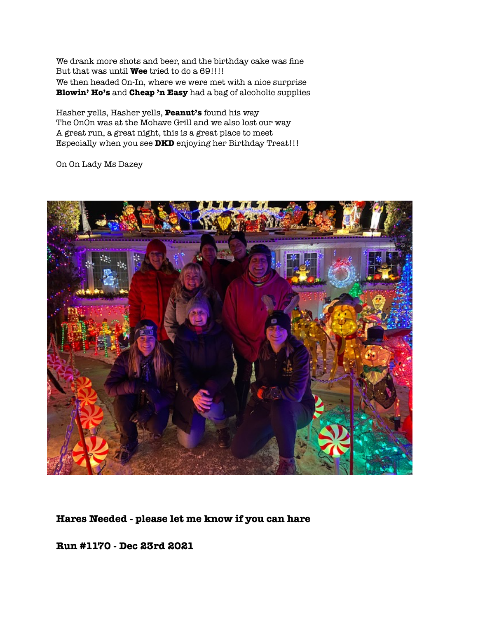We drank more shots and beer, and the birthday cake was fine But that was until **Wee** tried to do a 69!!!! We then headed On-In, where we were met with a nice surprise **Blowin' Ho's** and **Cheap 'n Easy** had a bag of alcoholic supplies

Hasher yells, Hasher yells, **Peanut's** found his way The OnOn was at the Mohave Grill and we also lost our way A great run, a great night, this is a great place to meet Especially when you see **DKD** enjoying her Birthday Treat!!!

On On Lady Ms Dazey



**Hares Needed - please let me know if you can hare** 

**Run #1170 - Dec 23rd 2021**